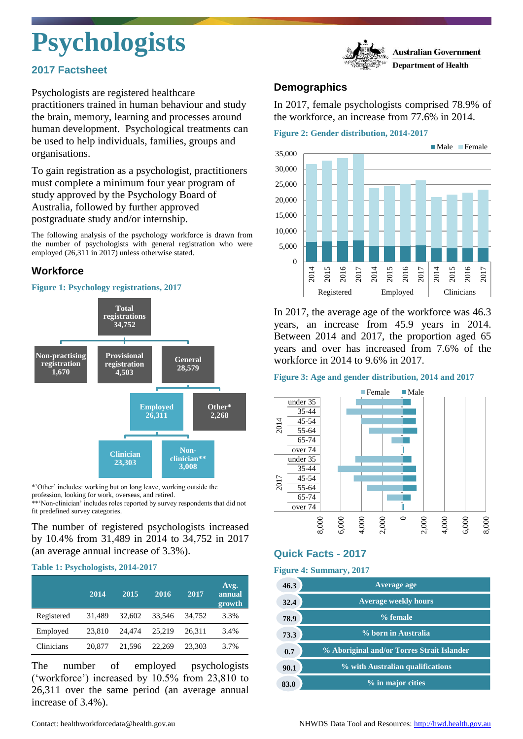# **Psychologists**

# **2017 Factsheet**



Psychologists are registered healthcare practitioners trained in human behaviour and study the brain, memory, learning and processes around human development. Psychological treatments can be used to help individuals, families, groups and organisations.

To gain registration as a psychologist, practitioners must complete a minimum four year program of study approved by the Psychology Board of Australia, followed by further approved postgraduate study and/or internship.

The following analysis of the psychology workforce is drawn from the number of psychologists with general registration who were employed (26,311 in 2017) unless otherwise stated.

# **Workforce**

#### **Figure 1: Psychology registrations, 2017**



\*'Other' includes: working but on long leave, working outside the profession, looking for work, overseas, and retired.

\*\*\*Non-clinician' includes roles reported by survey respondents that did not fit predefined survey categories.

### The number of registered psychologists increased by 10.4% from 31,489 in 2014 to 34,752 in 2017 (an average annual increase of 3.3%).

#### **Table 1: Psychologists, 2014-2017**

|            | 2014   | 2015   | 2016   | 2017   | Avg.<br>annual<br>growth |
|------------|--------|--------|--------|--------|--------------------------|
| Registered | 31,489 | 32,602 | 33.546 | 34.752 | 3.3%                     |
| Employed   | 23.810 | 24,474 | 25.219 | 26.311 | 3.4%                     |
| Clinicians | 20,877 | 21.596 | 22,269 | 23.303 | 3.7%                     |

The number of employed psychologists ('workforce') increased by 10.5% from 23,810 to 26,311 over the same period (an average annual increase of 3.4%).

## **Demographics**

In 2017, female psychologists comprised 78.9% of the workforce, an increase from 77.6% in 2014.

**Figure 2: Gender distribution, 2014-2017**



In 2017, the average age of the workforce was 46.3 years, an increase from 45.9 years in 2014. Between 2014 and 2017, the proportion aged 65 years and over has increased from 7.6% of the workforce in 2014 to 9.6% in 2017.

#### **Figure 3: Age and gender distribution, 2014 and 2017**



# **Quick Facts - 2017**

#### **Figure 4: Summary, 2017**

| 46.3 | Average age                                |
|------|--------------------------------------------|
| 32.4 | <b>Average weekly hours</b>                |
| 78.9 | % female                                   |
| 73.3 | % born in Australia                        |
| 0.7  | % Aboriginal and/or Torres Strait Islander |
| 90.1 | % with Australian qualifications           |
|      | % in major cities                          |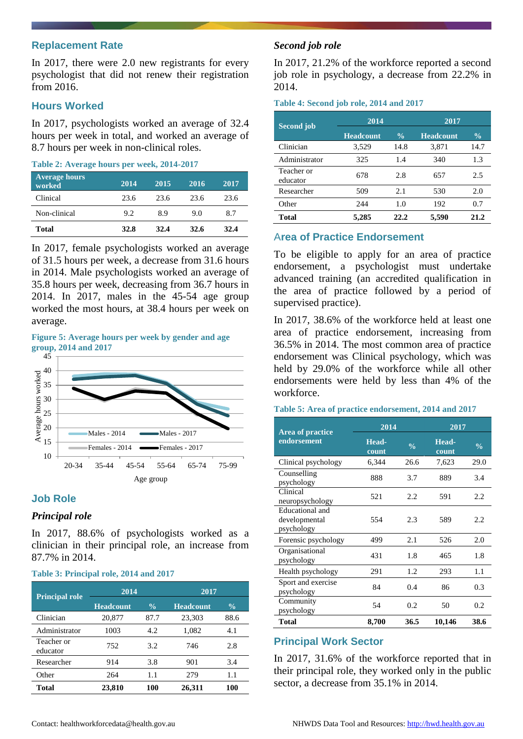#### **Replacement Rate**

In 2017, there were 2.0 new registrants for every psychologist that did not renew their registration from 2016.

#### **Hours Worked**

In 2017, psychologists worked an average of 32.4 hours per week in total, and worked an average of 8.7 hours per week in non-clinical roles.

#### **Table 2: Average hours per week, 2014-2017**

| <b>Average hours</b><br>worked | 2014 | 2015 | 2016 | 2017 |
|--------------------------------|------|------|------|------|
| Clinical                       | 23.6 | 23.6 | 23.6 | 23.6 |
| Non-clinical                   | 9.2  | 8.9  | 9.0  | 8.7  |
| Total                          | 32.8 | 32.4 | 32.6 | 32.4 |

In 2017, female psychologists worked an average of 31.5 hours per week, a decrease from 31.6 hours in 2014. Male psychologists worked an average of 35.8 hours per week, decreasing from 36.7 hours in 2014. In 2017, males in the 45-54 age group worked the most hours, at 38.4 hours per week on average.

**Figure 5: Average hours per week by gender and age group, 2014 and 2017**



#### **Job Role**

#### *Principal role*

In 2017, 88.6% of psychologists worked as a clinician in their principal role, an increase from 87.7% in 2014.

#### **Table 3: Principal role, 2014 and 2017**

| <b>Principal role</b>  | 2014             |               |                  | 2017          |  |  |
|------------------------|------------------|---------------|------------------|---------------|--|--|
|                        | <b>Headcount</b> | $\frac{0}{0}$ | <b>Headcount</b> | $\frac{0}{0}$ |  |  |
| Clinician              | 20,877           | 87.7          | 23,303           | 88.6          |  |  |
| Administrator          | 1003             | 4.2.          | 1,082            | 4.1           |  |  |
| Teacher or<br>educator | 752              | 3.2           | 746              | 2.8           |  |  |
| Researcher             | 914              | 3.8           | 901              | 3.4           |  |  |
| Other                  | 264              | 1.1           | 279              | 1.1           |  |  |
| Total                  | 23,810           | 100           | 26,311           | 100           |  |  |

#### *Second job role*

In 2017, 21.2% of the workforce reported a second job role in psychology, a decrease from 22.2% in 2014.

#### **Table 4: Second job role, 2014 and 2017**

| Second job             | 2014             |               | 2017             |               |  |
|------------------------|------------------|---------------|------------------|---------------|--|
|                        | <b>Headcount</b> | $\frac{0}{0}$ | <b>Headcount</b> | $\frac{0}{0}$ |  |
| Clinician              | 3,529            | 14.8          | 3,871            | 14.7          |  |
| Administrator          | 325              | 1.4           | 340              | 1.3           |  |
| Teacher or<br>educator | 678              | 2.8           | 657              | 2.5           |  |
| Researcher             | 509              | 2.1           | 530              | 2.0           |  |
| Other                  | 244              | 1.0           | 192              | 0.7           |  |
| Total                  | 5,285            | 22.2          | 5,590            | 21.2          |  |

#### A**rea of Practice Endorsement**

To be eligible to apply for an area of practice endorsement, a psychologist must undertake advanced training (an accredited qualification in the area of practice followed by a period of supervised practice).

In 2017, 38.6% of the workforce held at least one area of practice endorsement, increasing from 36.5% in 2014. The most common area of practice endorsement was Clinical psychology, which was held by 29.0% of the workforce while all other endorsements were held by less than 4% of the workforce.

#### **Table 5: Area of practice endorsement, 2014 and 2017**

| Area of practice                               | 2014           |               | 2017           |               |
|------------------------------------------------|----------------|---------------|----------------|---------------|
| endorsement                                    | Head-<br>count | $\frac{0}{0}$ | Head-<br>count | $\frac{0}{0}$ |
| Clinical psychology                            | 6,344          | 26.6          | 7,623          | 29.0          |
| Counselling<br>psychology                      | 888            | 3.7           | 889            | 3.4           |
| Clinical<br>neuropsychology                    | 521            | 2.2           | 591            | 2.2           |
| Educational and<br>developmental<br>psychology | 554            | 2.3           | 589            | 2.2           |
| Forensic psychology                            | 499            | 2.1           | 526            | 2.0           |
| Organisational<br>psychology                   | 431            | 1.8           | 465            | 1.8           |
| Health psychology                              | 291            | 1.2           | 293            | 1.1           |
| Sport and exercise<br>psychology               | 84             | 0.4           | 86             | 0.3           |
| Community<br>psychology                        | 54             | 0.2           | 50             | 0.2           |
| Total                                          | 8,700          | 36.5          | 10,146         | 38.6          |

#### **Principal Work Sector**

In 2017, 31.6% of the workforce reported that in their principal role, they worked only in the public sector, a decrease from 35.1% in 2014.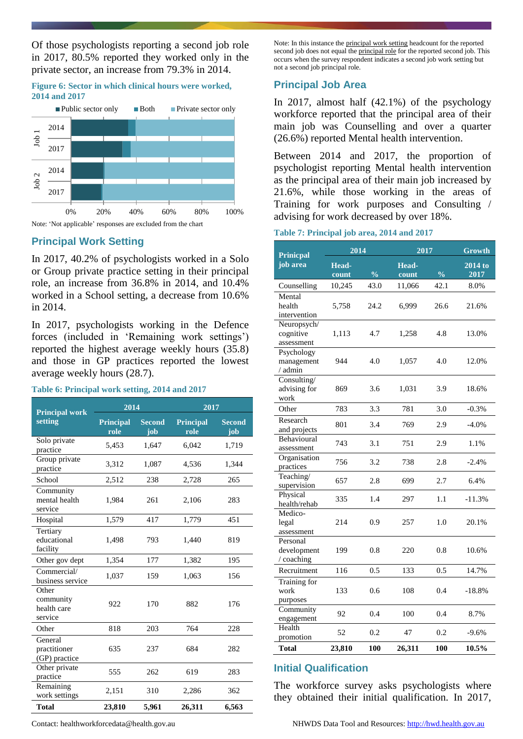Of those psychologists reporting a second job role in 2017, 80.5% reported they worked only in the private sector, an increase from 79.3% in 2014.

#### **Figure 6: Sector in which clinical hours were worked, 2014 and 2017**



# **Principal Work Setting**

In 2017, 40.2% of psychologists worked in a Solo or Group private practice setting in their principal role, an increase from 36.8% in 2014, and 10.4% worked in a School setting, a decrease from 10.6% in 2014.

In 2017, psychologists working in the Defence forces (included in 'Remaining work settings') reported the highest average weekly hours (35.8) and those in GP practices reported the lowest average weekly hours (28.7).

#### **Table 6: Principal work setting, 2014 and 2017**

| <b>Principal work</b>                        | 2014                     |                      |                          | 2017                 |  |  |
|----------------------------------------------|--------------------------|----------------------|--------------------------|----------------------|--|--|
| setting                                      | <b>Principal</b><br>role | <b>Second</b><br>iob | <b>Principal</b><br>role | <b>Second</b><br>job |  |  |
| Solo private<br>practice                     | 5,453                    | 1,647                | 6,042                    | 1,719                |  |  |
| Group private<br>practice                    | 3,312                    | 1,087                | 4,536                    | 1,344                |  |  |
| School                                       | 2,512                    | 238                  | 2,728                    | 265                  |  |  |
| Community<br>mental health<br>service        | 1,984                    | 261                  | 2,106                    | 283                  |  |  |
| Hospital                                     | 1,579                    | 417                  | 1,779                    | 451                  |  |  |
| Tertiary<br>educational<br>facility          | 1,498                    | 793                  | 1,440                    | 819                  |  |  |
| Other gov dept                               | 1,354                    | 177                  | 1,382                    | 195                  |  |  |
| Commercial/<br>business service              | 1,037                    | 159                  | 1,063                    | 156                  |  |  |
| Other<br>community<br>health care<br>service | 922                      | 170                  | 882                      | 176                  |  |  |
| Other                                        | 818                      | 203                  | 764                      | 228                  |  |  |
| General<br>practitioner<br>(GP) practice     | 635                      | 237                  | 684                      | 282                  |  |  |
| Other private<br>practice                    | 555                      | 262                  | 619                      | 283                  |  |  |
| Remaining<br>work settings                   | 2,151                    | 310                  | 2,286                    | 362                  |  |  |
| <b>Total</b>                                 | 23,810                   | 5,961                | 26,311                   | 6,563                |  |  |

Note: In this instance the principal work setting headcount for the reported second job does not equal the principal role for the reported second job. This occurs when the survey respondent indicates a second job work setting but not a second job principal role.

# **Principal Job Area**

In 2017, almost half (42.1%) of the psychology workforce reported that the principal area of their main job was Counselling and over a quarter (26.6%) reported Mental health intervention.

Between 2014 and 2017, the proportion of psychologist reporting Mental health intervention as the principal area of their main job increased by 21.6%, while those working in the areas of Training for work purposes and Consulting / advising for work decreased by over 18%.

|  | Table 7: Principal job area, 2014 and 2017 |  |  |  |  |  |
|--|--------------------------------------------|--|--|--|--|--|
|--|--------------------------------------------|--|--|--|--|--|

| <b>Prinicpal</b>                       | 2014           |               |                | 2017          |                 |
|----------------------------------------|----------------|---------------|----------------|---------------|-----------------|
| job area                               | Head-<br>count | $\frac{0}{0}$ | Head-<br>count | $\frac{0}{6}$ | 2014 to<br>2017 |
| Counselling                            | 10,245         | 43.0          | 11,066         | 42.1          | 8.0%            |
| Mental<br>health<br>intervention       | 5,758          | 24.2          | 6,999          | 26.6          | 21.6%           |
| Neuropsych/<br>cognitive<br>assessment | 1,113          | 4.7           | 1,258          | 4.8           | 13.0%           |
| Psychology<br>management<br>/ admin    | 944            | 4.0           | 1,057          | 4.0           | 12.0%           |
| Consulting/<br>advising for<br>work    | 869            | 3.6           | 1,031          | 3.9           | 18.6%           |
| Other                                  | 783            | 3.3           | 781            | 3.0           | $-0.3%$         |
| Research<br>and projects               | 801            | 3.4           | 769            | 2.9           | $-4.0%$         |
| Behavioural<br>assessment              | 743            | 3.1           | 751            | 2.9           | 1.1%            |
| Organisation<br>practices              | 756            | 3.2           | 738            | 2.8           | $-2.4%$         |
| Teaching/<br>supervision               | 657            | 2.8           | 699            | 2.7           | 6.4%            |
| Physical<br>health/rehab               | 335            | 1.4           | 297            | 1.1           | $-11.3%$        |
| Medico-<br>legal<br>assessment         | 214            | 0.9           | 257            | 1.0           | 20.1%           |
| Personal<br>development<br>/ coaching  | 199            | 0.8           | 220            | 0.8           | 10.6%           |
| Recruitment                            | 116            | 0.5           | 133            | 0.5           | 14.7%           |
| Training for<br>work<br>purposes       | 133            | 0.6           | 108            | 0.4           | $-18.8%$        |
| Community<br>engagement                | 92             | 0.4           | 100            | 0.4           | 8.7%            |
| Health<br>promotion                    | 52             | 0.2           | 47             | 0.2           | $-9.6%$         |
| <b>Total</b>                           | 23,810         | 100           | 26,311         | 100           | 10.5%           |

# **Initial Qualification**

The workforce survey asks psychologists where they obtained their initial qualification. In 2017,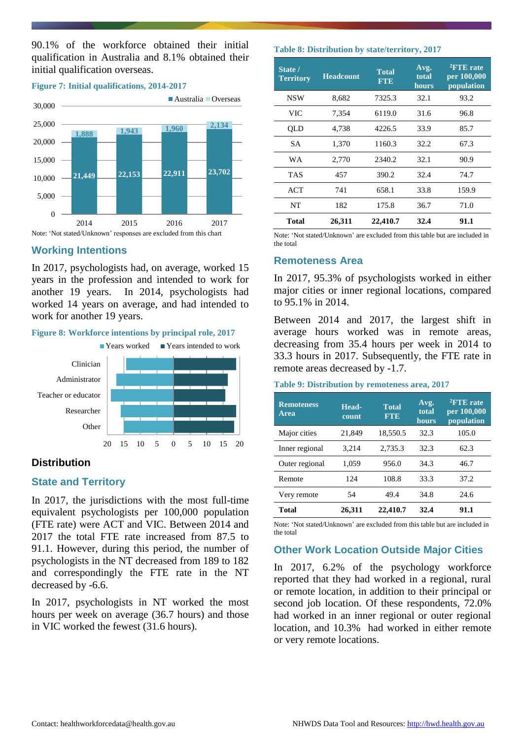90.1% of the workforce obtained their initial qualification in Australia and 8.1% obtained their initial qualification overseas.

#### **Figure 7: Initial qualifications, 2014-2017**



#### **Working Intentions**

In 2017, psychologists had, on average, worked 15 years in the profession and intended to work for another 19 years. In 2014, psychologists had worked 14 years on average, and had intended to work for another 19 years.





#### **Distribution**

#### **State and Territory**

In 2017, the jurisdictions with the most full-time equivalent psychologists per 100,000 population (FTE rate) were ACT and VIC. Between 2014 and 2017 the total FTE rate increased from 87.5 to 91.1. However, during this period, the number of psychologists in the NT decreased from 189 to 182 and correspondingly the FTE rate in the NT decreased by -6.6.

In 2017, psychologists in NT worked the most hours per week on average (36.7 hours) and those in VIC worked the fewest (31.6 hours).

#### **Table 8: Distribution by state/territory, 2017**

| State /<br><b>Territory</b> | <b>Headcount</b> | <b>Total</b><br><b>FTE</b> | Avg.<br>total<br>hours | <sup>2</sup> FTE rate<br>per 100,000<br>population |
|-----------------------------|------------------|----------------------------|------------------------|----------------------------------------------------|
| <b>NSW</b>                  | 8,682            | 7325.3                     | 32.1                   | 93.2                                               |
| <b>VIC</b>                  | 7,354            | 6119.0                     | 31.6                   | 96.8                                               |
| QLD                         | 4,738            | 4226.5                     | 33.9                   | 85.7                                               |
| <b>SA</b>                   | 1,370            | 1160.3                     | 32.2                   | 67.3                                               |
| WA                          | 2,770            | 2340.2                     | 32.1                   | 90.9                                               |
| <b>TAS</b>                  | 457              | 390.2                      | 32.4                   | 74.7                                               |
| <b>ACT</b>                  | 741              | 658.1                      | 33.8                   | 159.9                                              |
| NT                          | 182              | 175.8                      | 36.7                   | 71.0                                               |
| Total                       | 26,311           | 22,410.7                   | 32.4                   | 91.1                                               |

Note: 'Not stated/Unknown' are excluded from this table but are included in the total

#### **Remoteness Area**

In 2017, 95.3% of psychologists worked in either major cities or inner regional locations, compared to 95.1% in 2014.

Between 2014 and 2017, the largest shift in average hours worked was in remote areas, decreasing from 35.4 hours per week in 2014 to 33.3 hours in 2017. Subsequently, the FTE rate in remote areas decreased by -1.7.

#### **Table 9: Distribution by remoteness area, 2017**

| <b>Remoteness</b><br>Area | Head-<br>count | <b>Total</b><br><b>FTE</b> | Avg.<br>total<br>hours | $2$ FTE rate<br>per 100,000<br>population |
|---------------------------|----------------|----------------------------|------------------------|-------------------------------------------|
| Major cities              | 21,849         | 18,550.5                   | 32.3                   | 105.0                                     |
| Inner regional            | 3,214          | 2,735.3                    | 32.3                   | 62.3                                      |
| Outer regional            | 1,059          | 956.0                      | 34.3                   | 46.7                                      |
| Remote                    | 124            | 108.8                      | 33.3                   | 37.2                                      |
| Very remote               | 54             | 49.4                       | 34.8                   | 24.6                                      |
| Total                     | 26,311         | 22,410.7                   | 32.4                   | 91.1                                      |

Note: 'Not stated/Unknown' are excluded from this table but are included in the total

#### **Other Work Location Outside Major Cities**

In 2017, 6.2% of the psychology workforce reported that they had worked in a regional, rural or remote location, in addition to their principal or second job location. Of these respondents, 72.0% had worked in an inner regional or outer regional location, and 10.3% had worked in either remote or very remote locations.